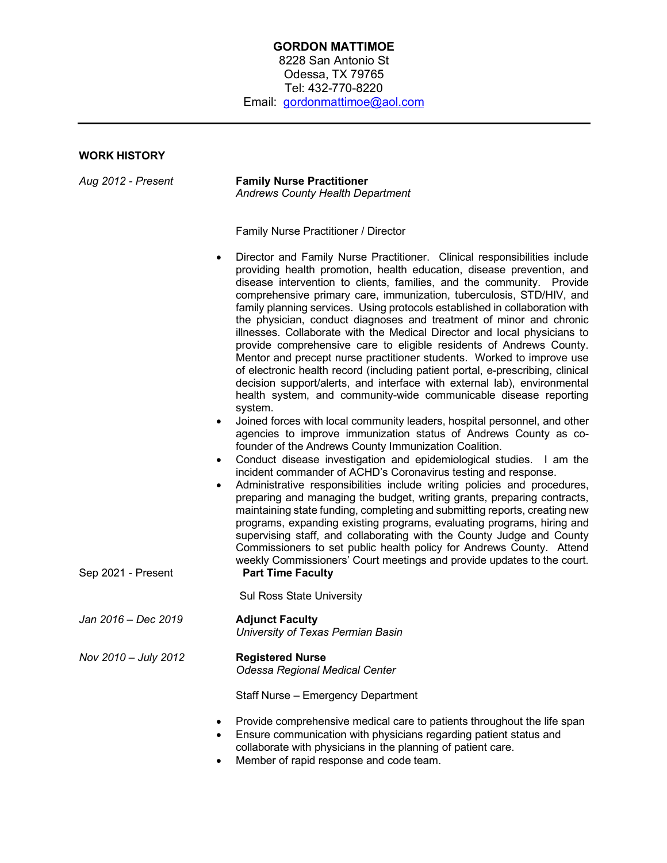## **GORDON MATTIMOE** 8228 San Antonio St Odessa, TX 79765 Tel: 432-770-8220 Email: gordonmattimoe@aol.com

# **WORK HISTORY**

| Aug 2012 - Present   | <b>Family Nurse Practitioner</b><br><b>Andrews County Health Department</b>                                                                                                                                                                                                                                                                                                                                                                                                                                                                                                                                                                                                                                                                                                                                                                                                                                                                                                                                                                                                                                                                                                                                                                                                                                                                                                                                                                                                                                                                                                                                                                                                                                                       |
|----------------------|-----------------------------------------------------------------------------------------------------------------------------------------------------------------------------------------------------------------------------------------------------------------------------------------------------------------------------------------------------------------------------------------------------------------------------------------------------------------------------------------------------------------------------------------------------------------------------------------------------------------------------------------------------------------------------------------------------------------------------------------------------------------------------------------------------------------------------------------------------------------------------------------------------------------------------------------------------------------------------------------------------------------------------------------------------------------------------------------------------------------------------------------------------------------------------------------------------------------------------------------------------------------------------------------------------------------------------------------------------------------------------------------------------------------------------------------------------------------------------------------------------------------------------------------------------------------------------------------------------------------------------------------------------------------------------------------------------------------------------------|
|                      | Family Nurse Practitioner / Director                                                                                                                                                                                                                                                                                                                                                                                                                                                                                                                                                                                                                                                                                                                                                                                                                                                                                                                                                                                                                                                                                                                                                                                                                                                                                                                                                                                                                                                                                                                                                                                                                                                                                              |
|                      | Director and Family Nurse Practitioner. Clinical responsibilities include<br>$\bullet$<br>providing health promotion, health education, disease prevention, and<br>disease intervention to clients, families, and the community. Provide<br>comprehensive primary care, immunization, tuberculosis, STD/HIV, and<br>family planning services. Using protocols established in collaboration with<br>the physician, conduct diagnoses and treatment of minor and chronic<br>illnesses. Collaborate with the Medical Director and local physicians to<br>provide comprehensive care to eligible residents of Andrews County.<br>Mentor and precept nurse practitioner students. Worked to improve use<br>of electronic health record (including patient portal, e-prescribing, clinical<br>decision support/alerts, and interface with external lab), environmental<br>health system, and community-wide communicable disease reporting<br>system.<br>Joined forces with local community leaders, hospital personnel, and other<br>$\bullet$<br>agencies to improve immunization status of Andrews County as co-<br>founder of the Andrews County Immunization Coalition.<br>Conduct disease investigation and epidemiological studies. I am the<br>$\bullet$<br>incident commander of ACHD's Coronavirus testing and response.<br>Administrative responsibilities include writing policies and procedures,<br>$\bullet$<br>preparing and managing the budget, writing grants, preparing contracts,<br>maintaining state funding, completing and submitting reports, creating new<br>programs, expanding existing programs, evaluating programs, hiring and<br>supervising staff, and collaborating with the County Judge and County |
| Sep 2021 - Present   | Commissioners to set public health policy for Andrews County. Attend<br>weekly Commissioners' Court meetings and provide updates to the court.<br><b>Part Time Faculty</b>                                                                                                                                                                                                                                                                                                                                                                                                                                                                                                                                                                                                                                                                                                                                                                                                                                                                                                                                                                                                                                                                                                                                                                                                                                                                                                                                                                                                                                                                                                                                                        |
|                      | <b>Sul Ross State University</b>                                                                                                                                                                                                                                                                                                                                                                                                                                                                                                                                                                                                                                                                                                                                                                                                                                                                                                                                                                                                                                                                                                                                                                                                                                                                                                                                                                                                                                                                                                                                                                                                                                                                                                  |
| Jan 2016 - Dec 2019  | <b>Adjunct Faculty</b><br>University of Texas Permian Basin                                                                                                                                                                                                                                                                                                                                                                                                                                                                                                                                                                                                                                                                                                                                                                                                                                                                                                                                                                                                                                                                                                                                                                                                                                                                                                                                                                                                                                                                                                                                                                                                                                                                       |
| Nov 2010 - July 2012 | <b>Registered Nurse</b><br>Odessa Regional Medical Center                                                                                                                                                                                                                                                                                                                                                                                                                                                                                                                                                                                                                                                                                                                                                                                                                                                                                                                                                                                                                                                                                                                                                                                                                                                                                                                                                                                                                                                                                                                                                                                                                                                                         |
|                      | Staff Nurse - Emergency Department                                                                                                                                                                                                                                                                                                                                                                                                                                                                                                                                                                                                                                                                                                                                                                                                                                                                                                                                                                                                                                                                                                                                                                                                                                                                                                                                                                                                                                                                                                                                                                                                                                                                                                |
|                      | Provide comprehensive medical care to patients throughout the life span<br>Ensure communication with physicians regarding patient status and<br>$\bullet$<br>collaborate with physicians in the planning of patient care.                                                                                                                                                                                                                                                                                                                                                                                                                                                                                                                                                                                                                                                                                                                                                                                                                                                                                                                                                                                                                                                                                                                                                                                                                                                                                                                                                                                                                                                                                                         |

• Member of rapid response and code team.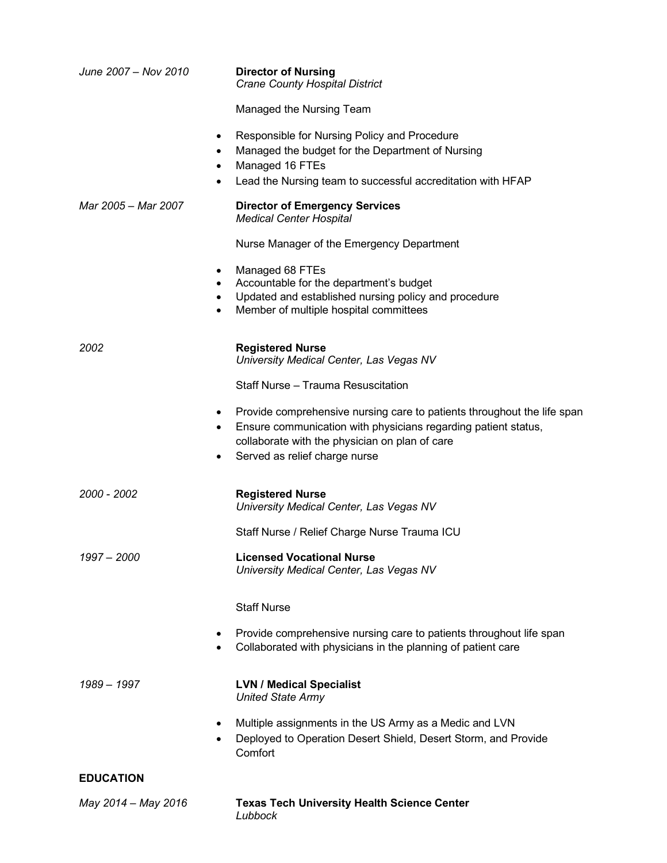| June 2007 - Nov 2010 | <b>Director of Nursing</b><br><b>Crane County Hospital District</b>                                                                                                                                                               |
|----------------------|-----------------------------------------------------------------------------------------------------------------------------------------------------------------------------------------------------------------------------------|
|                      | Managed the Nursing Team                                                                                                                                                                                                          |
|                      | Responsible for Nursing Policy and Procedure<br>$\bullet$<br>Managed the budget for the Department of Nursing<br>Managed 16 FTEs<br>Lead the Nursing team to successful accreditation with HFAP                                   |
| Mar 2005 - Mar 2007  | <b>Director of Emergency Services</b><br><b>Medical Center Hospital</b>                                                                                                                                                           |
|                      | Nurse Manager of the Emergency Department                                                                                                                                                                                         |
|                      | Managed 68 FTEs<br>Accountable for the department's budget<br>Updated and established nursing policy and procedure<br>Member of multiple hospital committees                                                                      |
| 2002                 | <b>Registered Nurse</b><br>University Medical Center, Las Vegas NV                                                                                                                                                                |
|                      | Staff Nurse - Trauma Resuscitation                                                                                                                                                                                                |
|                      | Provide comprehensive nursing care to patients throughout the life span<br>٠<br>Ensure communication with physicians regarding patient status,<br>collaborate with the physician on plan of care<br>Served as relief charge nurse |
| 2000 - 2002          | <b>Registered Nurse</b><br>University Medical Center, Las Vegas NV                                                                                                                                                                |
|                      | Staff Nurse / Relief Charge Nurse Trauma ICU                                                                                                                                                                                      |
| 1997 – 2000          | <b>Licensed Vocational Nurse</b><br>University Medical Center, Las Vegas NV                                                                                                                                                       |
|                      | <b>Staff Nurse</b>                                                                                                                                                                                                                |
|                      | Provide comprehensive nursing care to patients throughout life span<br>Collaborated with physicians in the planning of patient care                                                                                               |
| 1989 - 1997          | <b>LVN / Medical Specialist</b><br><b>United State Army</b>                                                                                                                                                                       |
|                      | Multiple assignments in the US Army as a Medic and LVN<br>$\bullet$<br>Deployed to Operation Desert Shield, Desert Storm, and Provide<br>Comfort                                                                                  |
| <b>EDUCATION</b>     |                                                                                                                                                                                                                                   |
| May 2014 - May 2016  | <b>Texas Tech University Health Science Center</b><br>Lubbock                                                                                                                                                                     |